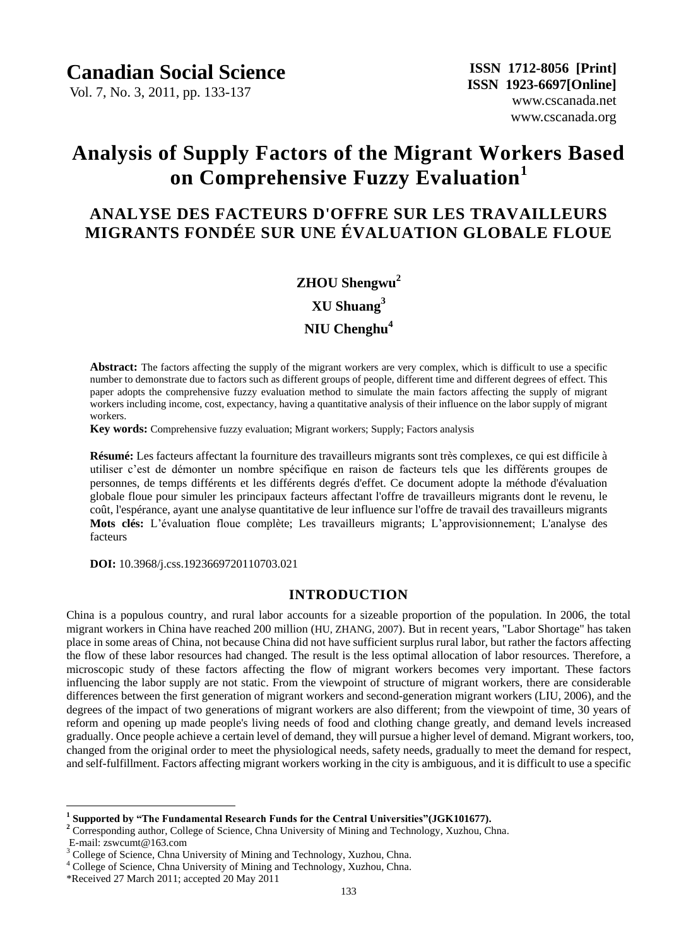Vol. 7, No. 3, 2011, pp. 133-137

# **Analysis of Supply Factors of the Migrant Workers Based on Comprehensive Fuzzy Evaluation<sup>1</sup>**

# **ANALYSE DES FACTEURS D'OFFRE SUR LES TRAVAILLEURS MIGRANTS FONDÉE SUR UNE ÉVALUATION GLOBALE FLOUE**

# **ZHOU Shengwu<sup>2</sup>**

**XU Shuang<sup>3</sup>**

**NIU Chenghu<sup>4</sup>**

**Abstract:** The factors affecting the supply of the migrant workers are very complex, which is difficult to use a specific number to demonstrate due to factors such as different groups of people, different time and different degrees of effect. This paper adopts the comprehensive fuzzy evaluation method to simulate the main factors affecting the supply of migrant workers including income, cost, expectancy, having a quantitative analysis of their influence on the labor supply of migrant workers.

**Key words:** Comprehensive fuzzy evaluation; Migrant workers; Supply; Factors analysis

**Résumé:** Les facteurs affectant la fourniture des travailleurs migrants sont très complexes, ce qui est difficile à utiliser c'est de démonter un nombre spécifique en raison de facteurs tels que les différents groupes de personnes, de temps différents et les différents degrés d'effet. Ce document adopte la méthode d'évaluation globale floue pour simuler les principaux facteurs affectant l'offre de travailleurs migrants dont le revenu, le coût, l'espérance, ayant une analyse quantitative de leur influence sur l'offre de travail des travailleurs migrants **Mots clés:** L'évaluation floue complète; Les travailleurs migrants; L'approvisionnement; L'analyse des facteurs

**DOI:** 10.3968/j.css.1923669720110703.021

#### **INTRODUCTION**

China is a populous country, and rural labor accounts for a sizeable proportion of the population. In 2006, the total migrant workers in China have reached 200 million (HU, ZHANG, 2007). But in recent years, "Labor Shortage" has taken place in some areas of China, not because China did not have sufficient surplus rural labor, but rather the factors affecting the flow of these labor resources had changed. The result is the less optimal allocation of labor resources. Therefore, a microscopic study of these factors affecting the flow of migrant workers becomes very important. These factors influencing the labor supply are not static. From the viewpoint of structure of migrant workers, there are considerable differences between the first generation of migrant workers and second-generation migrant workers (LIU, 2006), and the degrees of the impact of two generations of migrant workers are also different; from the viewpoint of time, 30 years of reform and opening up made people's living needs of food and clothing change greatly, and demand levels increased gradually. Once people achieve a certain level of demand, they will pursue a higher level of demand. Migrant workers, too, changed from the original order to meet the physiological needs, safety needs, gradually to meet the demand for respect, and self-fulfillment. Factors affecting migrant workers working in the city is ambiguous, and it is difficult to use a specific

 $\overline{a}$ 

**<sup>1</sup> Supported by "The Fundamental Research Funds for the Central Universities"(JGK101677).**

<sup>&</sup>lt;sup>2</sup> Corresponding author, College of Science, Chna University of Mining and Technology, Xuzhou, Chna. E-mail: zswcumt@163.com

<sup>&</sup>lt;sup>3</sup> College of Science, Chna University of Mining and Technology, Xuzhou, Chna.

<sup>4</sup> College of Science, Chna University of Mining and Technology, Xuzhou, Chna.

<sup>\*</sup>Received 27 March 2011; accepted 20 May 2011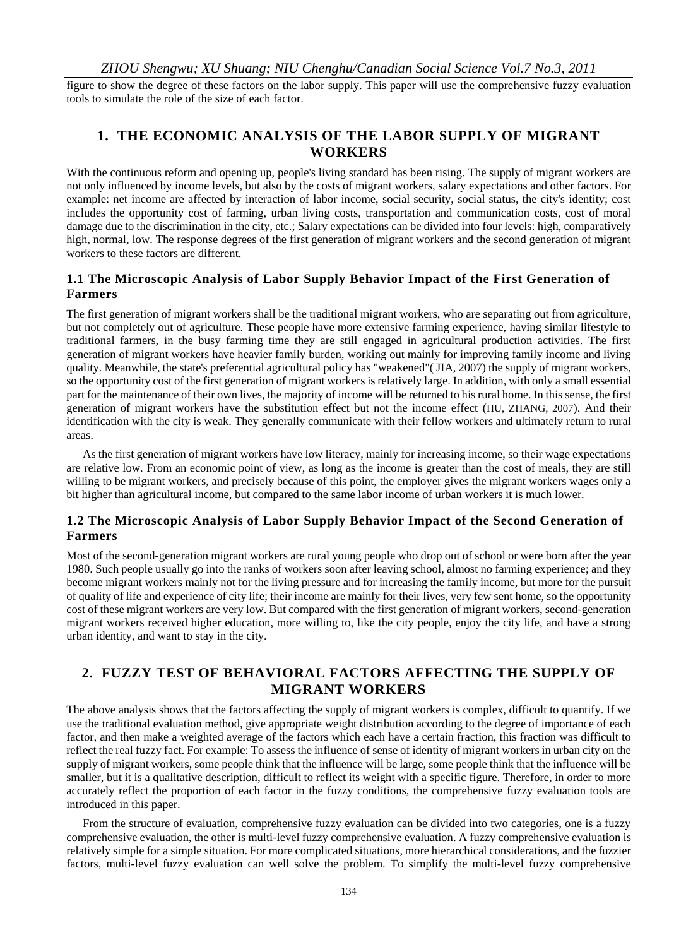*ZHOU Shengwu; XU Shuang; NIU Chenghu/Canadian Social Science Vol.7 No.3, 2011*

figure to show the degree of these factors on the labor supply. This paper will use the comprehensive fuzzy evaluation tools to simulate the role of the size of each factor.

# **1. THE ECONOMIC ANALYSIS OF THE LABOR SUPPLY OF MIGRANT WORKERS**

With the continuous reform and opening up, people's living standard has been rising. The supply of migrant workers are not only influenced by income levels, but also by the costs of migrant workers, salary expectations and other factors. For example: net income are affected by interaction of labor income, social security, social status, the city's identity; cost includes the opportunity cost of farming, urban living costs, transportation and communication costs, cost of moral damage due to the discrimination in the city, etc.; Salary expectations can be divided into four levels: high, comparatively high, normal, low. The response degrees of the first generation of migrant workers and the second generation of migrant workers to these factors are different.

#### **1.1 The Microscopic Analysis of Labor Supply Behavior Impact of the First Generation of Farmers**

The first generation of migrant workers shall be the traditional migrant workers, who are separating out from agriculture, but not completely out of agriculture. These people have more extensive farming experience, having similar lifestyle to traditional farmers, in the busy farming time they are still engaged in agricultural production activities. The first generation of migrant workers have heavier family burden, working out mainly for improving family income and living quality. Meanwhile, the state's preferential agricultural policy has "weakened"( JIA, 2007) the supply of migrant workers, so the opportunity cost of the first generation of migrant workers is relatively large. In addition, with only a small essential part for the maintenance of their own lives, the majority of income will be returned to his rural home. In this sense, the first generation of migrant workers have the substitution effect but not the income effect (HU, ZHANG, 2007). And their identification with the city is weak. They generally communicate with their fellow workers and ultimately return to rural areas.

As the first generation of migrant workers have low literacy, mainly for increasing income, so their wage expectations are relative low. From an economic point of view, as long as the income is greater than the cost of meals, they are still willing to be migrant workers, and precisely because of this point, the employer gives the migrant workers wages only a bit higher than agricultural income, but compared to the same labor income of urban workers it is much lower.

#### **1.2 The Microscopic Analysis of Labor Supply Behavior Impact of the Second Generation of Farmers**

Most of the second-generation migrant workers are rural young people who drop out of school or were born after the year 1980. Such people usually go into the ranks of workers soon after leaving school, almost no farming experience; and they become migrant workers mainly not for the living pressure and for increasing the family income, but more for the pursuit of quality of life and experience of city life; their income are mainly for their lives, very few sent home, so the opportunity cost of these migrant workers are very low. But compared with the first generation of migrant workers, second-generation migrant workers received higher education, more willing to, like the city people, enjoy the city life, and have a strong urban identity, and want to stay in the city.

# **2. FUZZY TEST OF BEHAVIORAL FACTORS AFFECTING THE SUPPLY OF MIGRANT WORKERS**

The above analysis shows that the factors affecting the supply of migrant workers is complex, difficult to quantify. If we use the traditional evaluation method, give appropriate weight distribution according to the degree of importance of each factor, and then make a weighted average of the factors which each have a certain fraction, this fraction was difficult to reflect the real fuzzy fact. For example: To assess the influence of sense of identity of migrant workers in urban city on the supply of migrant workers, some people think that the influence will be large, some people think that the influence will be smaller, but it is a qualitative description, difficult to reflect its weight with a specific figure. Therefore, in order to more accurately reflect the proportion of each factor in the fuzzy conditions, the comprehensive fuzzy evaluation tools are introduced in this paper.

From the structure of evaluation, comprehensive fuzzy evaluation can be divided into two categories, one is a fuzzy comprehensive evaluation, the other is multi-level fuzzy comprehensive evaluation. A fuzzy comprehensive evaluation is relatively simple for a simple situation. For more complicated situations, more hierarchical considerations, and the fuzzier factors, multi-level fuzzy evaluation can well solve the problem. To simplify the multi-level fuzzy comprehensive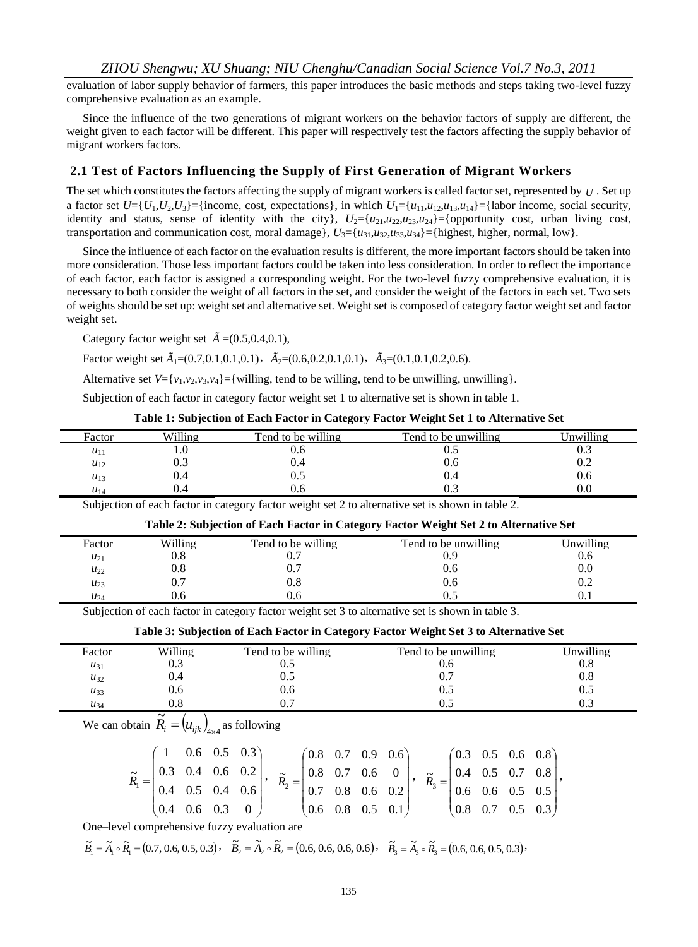*ZHOU Shengwu; XU Shuang; NIU Chenghu/Canadian Social Science Vol.7 No.3, 2011*

evaluation of labor supply behavior of farmers, this paper introduces the basic methods and steps taking two-level fuzzy comprehensive evaluation as an example.

Since the influence of the two generations of migrant workers on the behavior factors of supply are different, the weight given to each factor will be different. This paper will respectively test the factors affecting the supply behavior of migrant workers factors.

#### **2.1 Test of Factors Influencing the Supply of First Generation of Migrant Workers**

The set which constitutes the factors affecting the supply of migrant workers is called factor set, represented by *U* . Set up a factor set  $U=\{U_1, U_2, U_3\}$ ={income, cost, expectations}, in which  $U_1=\{u_{11}, u_{12}, u_{13}, u_{14}\}$ ={labor income, social security, identity and status, sense of identity with the city},  $U_2 = \{u_{21}, u_{22}, u_{23}, u_{24}\} = \{$ opportunity cost, urban living cost, transportation and communication cost, moral damage},  $U_3 = \{u_{31}, u_{32}, u_{33}, u_{34}\} = \{\text{highest, higher, normal, low}\}.$ 

Since the influence of each factor on the evaluation results is different, the more important factors should be taken into more consideration. Those less important factors could be taken into less consideration. In order to reflect the importance of each factor, each factor is assigned a corresponding weight. For the two-level fuzzy comprehensive evaluation, it is necessary to both consider the weight of all factors in the set, and consider the weight of the factors in each set. Two sets of weights should be set up: weight set and alternative set. Weight set is composed of category factor weight set and factor weight set.

Category factor weight set  $\tilde{A}$  = (0.5,0.4,0.1),

Factor weight set  $\tilde{A}_1 = (0.7, 0.1, 0.1, 0.1)$ ,  $\tilde{A}_2 = (0.6, 0.2, 0.1, 0.1)$ ,  $\tilde{A}_3 = (0.1, 0.1, 0.2, 0.6)$ .

Alternative set  $V = \{v_1, v_2, v_3, v_4\} = \{\text{willing, tend to be willing, tend to be unwilling, unwilling}\}.$ 

Subjection of each factor in category factor weight set 1 to alternative set is shown in table 1.

| Table 1: Subjection of Each Factor in Category Factor Weight Set 1 to Alternative Set |  |  |  |
|---------------------------------------------------------------------------------------|--|--|--|
|---------------------------------------------------------------------------------------|--|--|--|

| Factor   | Willing | Tend to be willing | Tend to be unwilling. | Jnwilling |
|----------|---------|--------------------|-----------------------|-----------|
| $u_{11}$ | ι.v     | v.o                | ∪.J                   | U.J       |
| $u_{12}$ | ∪.⊃     | 0.4                | v.o                   | ∪.∠       |
| $u_{13}$ | U.4     | U.J                | V.4                   | v.o       |
| $u_{14}$ | 0.4     | U.O                | U.J                   | v.v       |

Subjection of each factor in category factor weight set 2 to alternative set is shown in table 2.

|          |         |                    | Table 2. Subjection of Each Pactor in Category Pactor Weight Set 2 to Afternative Set |           |
|----------|---------|--------------------|---------------------------------------------------------------------------------------|-----------|
| Factor   | Willing | Tend to be willing | Tend to be unwilling                                                                  | Jnwilling |
| $u_{21}$ | 9.8     |                    | 0.9                                                                                   | V.b       |
| $u_{22}$ | 9.8     |                    | 0.6                                                                                   | 0.0       |
| $u_{23}$ |         | 0.8                | 0.6                                                                                   | 0.2       |
| $u_{24}$ | J.O     | U.O                |                                                                                       |           |

**Table 2: Subjection of Each Factor in Category Factor Weight Set 2 to Alternative Set**

Subjection of each factor in category factor weight set 3 to alternative set is shown in table 3.

**Table 3: Subjection of Each Factor in Category Factor Weight Set 3 to Alternative Set**

| Factor   | Willing | Tend to be willing | Tend to be unwilling | Unwilling |
|----------|---------|--------------------|----------------------|-----------|
| $u_{31}$ | v.J     | ∪.J                | v.o                  | $\rm 0.8$ |
| $u_{32}$ | 0.4     | ∪.J                | 0.7                  | 0.8       |
| $u_{33}$ | U.6     | U.O                | U.J                  | 0.5       |
| $u_{34}$ | v.c     |                    | U.J                  | 0.3       |

We can obtain  $\widetilde{R}_i = (u_{ijk})_{4 \times 4}$  $\overline{\widetilde{\widetilde{n}}}$  $\widetilde{R}_i = (u_{ijk})_{4\times 4}$  as following

|  |  | $(1 \t 0.6 \t 0.5 \t 0.3)$                          |                                                                                                                                                                                                                                                                                                             | $(0.8 \t 0.7 \t 0.9 \t 0.6)$ |  | $(0.3 \t 0.5 \t 0.6 \t 0.8)$ |  |                                                       |
|--|--|-----------------------------------------------------|-------------------------------------------------------------------------------------------------------------------------------------------------------------------------------------------------------------------------------------------------------------------------------------------------------------|------------------------------|--|------------------------------|--|-------------------------------------------------------|
|  |  |                                                     | $\widetilde{R}_1 = \begin{bmatrix} 0.3 & 0.4 & 0.6 & 0.2 \\ 0.4 & 0.5 & 0.4 & 0.6 \end{bmatrix}, \quad \widetilde{R}_2 = \begin{bmatrix} 0.8 & 0.7 & 0.6 & 0 \\ 0.7 & 0.8 & 0.6 & 0.2 \end{bmatrix}, \quad \widetilde{R}_3 = \begin{bmatrix} 0.4 & 0.5 & 0.7 & 0.8 \\ 0.6 & 0.6 & 0.5 & 0.5 \end{bmatrix},$ |                              |  |                              |  |                                                       |
|  |  |                                                     |                                                                                                                                                                                                                                                                                                             |                              |  |                              |  |                                                       |
|  |  | $\begin{pmatrix} 0.4 & 0.6 & 0.3 & 0 \end{pmatrix}$ |                                                                                                                                                                                                                                                                                                             | $(0.6 \t 0.8 \t 0.5 \t 0.1)$ |  |                              |  | $\begin{bmatrix} 0.8 & 0.7 & 0.5 & 0.3 \end{bmatrix}$ |

One–level comprehensive fuzzy evaluation are

$$
\widetilde{B}_1 = \widetilde{A}_1 \circ \widetilde{R}_1 = (0.7, 0.6, 0.5, 0.3), \quad \widetilde{B}_2 = \widetilde{A}_2 \circ \widetilde{R}_2 = (0.6, 0.6, 0.6, 0.6), \quad \widetilde{B}_3 = \widetilde{A}_3 \circ \widetilde{R}_3 = (0.6, 0.6, 0.5, 0.3),
$$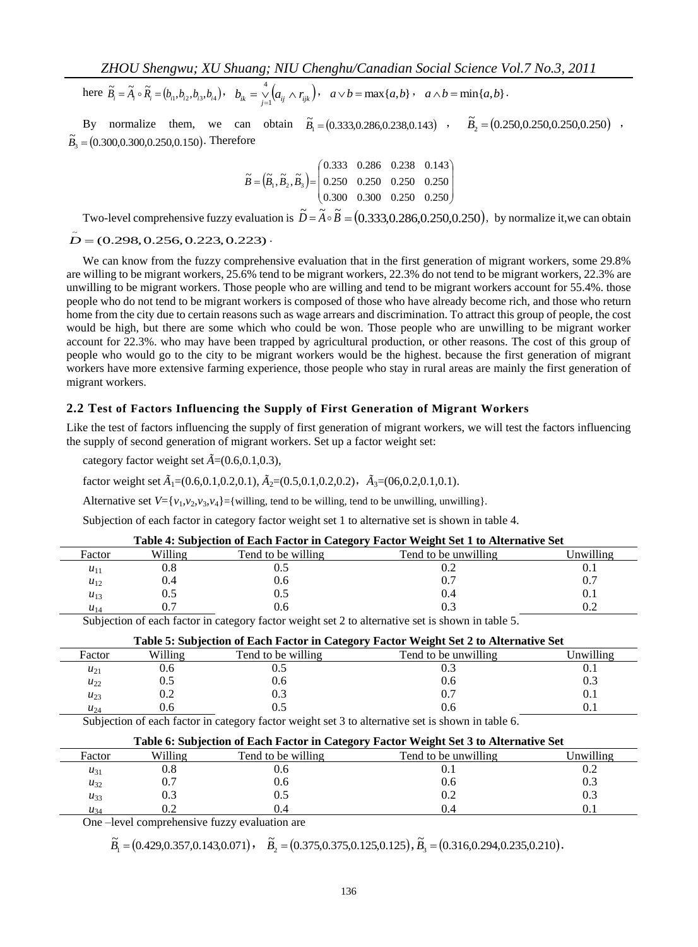here  $\tilde{B}_i = \tilde{A}_i \circ \tilde{R}_i = (b_{i1}, b_{i2}, b_{i3}, b_{i4}), b_{ik} = \sum_{j=1}^4 (a_{ij} \wedge r_{ijk}),$ 4  $\int_{A} (a_{ij} \wedge r_{ijk}), \quad a \vee b = \max\{a, b\}, \quad a \wedge b = \min\{a, b\}.$ 

By normalize them, we can obtain  $\tilde{B}_1 = (0.333, 0.286, 0.238, 0.143)$ ,  $\tilde{B}_2 = (0.250, 0.250, 0.250, 0.250)$ ,  $\widetilde{B}_3 = (0.300, 0.300, 0.250, 0.150)$ . Therefore

$$
\widetilde{B} = (\widetilde{B}_1, \widetilde{B}_2, \widetilde{B}_3) = \begin{pmatrix} 0.333 & 0.286 & 0.238 & 0.143 \\ 0.250 & 0.250 & 0.250 & 0.250 \\ 0.300 & 0.300 & 0.250 & 0.250 \end{pmatrix}
$$

Two-level comprehensive fuzzy evaluation is  $\tilde{D} = \tilde{A} \circ \tilde{B} = (0.333, 0.286, 0.250, 0.250)$ , by normalize it, we can obtain  $\tilde{D}$  = (0.298, 0.256, 0.223, 0.223) .

We can know from the fuzzy comprehensive evaluation that in the first generation of migrant workers, some 29.8% are willing to be migrant workers, 25.6% tend to be migrant workers, 22.3% do not tend to be migrant workers, 22.3% are unwilling to be migrant workers. Those people who are willing and tend to be migrant workers account for 55.4%. those people who do not tend to be migrant workers is composed of those who have already become rich, and those who return home from the city due to certain reasons such as wage arrears and discrimination. To attract this group of people, the cost would be high, but there are some which who could be won. Those people who are unwilling to be migrant worker account for 22.3%. who may have been trapped by agricultural production, or other reasons. The cost of this group of people who would go to the city to be migrant workers would be the highest. because the first generation of migrant workers have more extensive farming experience, those people who stay in rural areas are mainly the first generation of migrant workers.

#### **2.2 Test of Factors Influencing the Supply of First Generation of Migrant Workers**

Like the test of factors influencing the supply of first generation of migrant workers, we will test the factors influencing the supply of second generation of migrant workers. Set up a factor weight set:

category factor weight set  $\tilde{A}=(0.6,0.1,0.3)$ ,

factor weight set  $\tilde{A}_1 = (0.6, 0.1, 0.2, 0.1), \tilde{A}_2 = (0.5, 0.1, 0.2, 0.2), \tilde{A}_3 = (0.6, 0.2, 0.1, 0.1).$ 

Alternative set  $V = \{v_1, v_2, v_3, v_4\} = \{\text{willing, tend to be willing, tend to be unwilling, unwilling}\}.$ 

Subjection of each factor in category factor weight set 1 to alternative set is shown in table 4.

| Table 4: Subjection of Each Factor in Category Factor Weight Set 1 to Alternative Set |           |                    |                      |           |  |  |  |
|---------------------------------------------------------------------------------------|-----------|--------------------|----------------------|-----------|--|--|--|
| Factor                                                                                | Willing   | Tend to be willing | Tend to be unwilling | Unwilling |  |  |  |
| $u_{11}$                                                                              | $\rm 0.8$ |                    | 0.2                  |           |  |  |  |
| $u_{12}$                                                                              | 0.4       | 0.6                | 0.7                  | 0.7       |  |  |  |
| $u_{13}$                                                                              | 0.5       |                    | 0.4                  | $0_{1}$   |  |  |  |
| $u_{14}$                                                                              | 0.7       |                    | 0.3                  |           |  |  |  |

Subjection of each factor in category factor weight set 2 to alternative set is shown in table 5.

| Table 5: Subjection of Each Factor in Category Factor Weight Set 2 to Alternative Set            |         |                    |                      |           |  |  |  |
|--------------------------------------------------------------------------------------------------|---------|--------------------|----------------------|-----------|--|--|--|
| Factor                                                                                           | Willing | Tend to be willing | Tend to be unwilling | Unwilling |  |  |  |
| $u_{21}$                                                                                         | J.0     |                    |                      | 0.1       |  |  |  |
| $u_{22}$                                                                                         |         | 0.6                | 0.6                  | 0.3       |  |  |  |
| $u_{23}$                                                                                         | 9.2     |                    | 0.7                  | 0.1       |  |  |  |
| $u_{24}$                                                                                         | U.N     |                    |                      |           |  |  |  |
| Subjection of each factor in category factor weight get 3 to alternative get is shown in table 6 |         |                    |                      |           |  |  |  |

Subjection of each factor in category factor weight set 3 to alternative set is shown in table 6.

| Table 6: Subjection of Each Factor in Category Factor Weight Set 3 to Alternative Set |         |                    |                      |           |  |  |  |
|---------------------------------------------------------------------------------------|---------|--------------------|----------------------|-----------|--|--|--|
| Factor                                                                                | Willing | Tend to be willing | Tend to be unwilling | Unwilling |  |  |  |
| $u_{31}$                                                                              | 0.8     | 0.6                | U.I                  |           |  |  |  |
| $u_{32}$                                                                              | 0.7     | 0.6                | 0.6                  |           |  |  |  |
| $u_{33}$                                                                              | 0.3     | 0.5                | 0.2                  |           |  |  |  |
| $u_{34}$                                                                              | 0.2     | 0.4                | 0.4                  |           |  |  |  |

One –level comprehensive fuzzy evaluation are

 $\widetilde{B}_1 = (0.429, 0.357, 0.143, 0.071)$ ,  $\widetilde{B}_2 = (0.375, 0.375, 0.125, 0.125)$ ,  $\widetilde{B}_3 = (0.316, 0.294, 0.235, 0.210)$ .